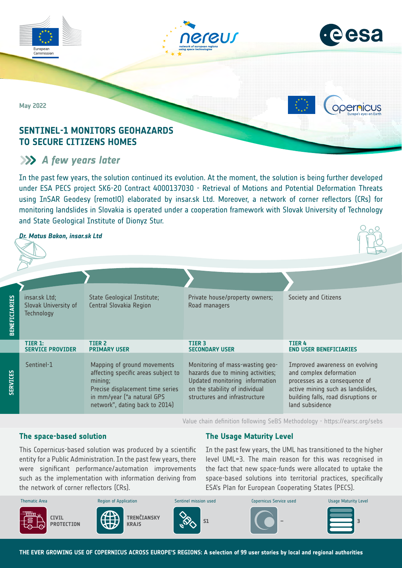



opernicus

**May 2022**

Commission

## **SENTINEL-1 MONITORS GEOHAZARDS TO SECURE CITIZENS HOMES**

# *A few years later*

In the past few years, the solution continued its evolution. At the moment, the solution is being further developed under ESA PECS project SK6-20 Contract 4000137030 - Retrieval of Motions and Potential Deformation Threats using InSAR Geodesy (remotlO) elaborated by insar.sk Ltd. Moreover, a network of corner reflectors (CRs) for monitoring landslides in Slovakia is operated under a cooperation framework with Slovak University of Technology and State Geological Institute of Dionyz Stur.

## *Dr. Matus Bakon, insar.sk Ltd*

| <b>BENEFICIARIES</b> | insar.sk Ltd;<br>Slovak University of<br><b>Technology</b> | State Geological Institute;<br>Central Slovakia Region                                                                                                                            | Private house/property owners;<br>Road managers                                                                                                                           | Society and Citizens                                                                                                                                                                      |
|----------------------|------------------------------------------------------------|-----------------------------------------------------------------------------------------------------------------------------------------------------------------------------------|---------------------------------------------------------------------------------------------------------------------------------------------------------------------------|-------------------------------------------------------------------------------------------------------------------------------------------------------------------------------------------|
|                      | TIER 1:<br><b>SERVICE PROVIDER</b>                         | TIER <sub>2</sub><br><b>PRIMARY USER</b>                                                                                                                                          | TIER <sub>3</sub><br><b>SECONDARY USER</b>                                                                                                                                | <b>TIER 4</b><br><b>END USER BENEFICIARIES</b>                                                                                                                                            |
| <b>SERVICES</b>      | Sentinel-1                                                 | Mapping of ground movements<br>affecting specific areas subject to<br>mining;<br>Precise displacement time series<br>in mm/year ("a natural GPS<br>network", dating back to 2014) | Monitoring of mass-wasting geo-<br>hazards due to mining activities;<br>Updated monitoring information<br>on the stability of individual<br>structures and infrastructure | Improved awareness on evolving<br>and complex deformation<br>processes as a consequence of<br>active mining such as landslides,<br>building falls, road disruptions or<br>land subsidence |

Value chain definition following SeBS Methodology -<https://earsc.org/sebs>

## **The space-based solution**

## **The Usage Maturity Level**

were significant performance/automation improvements This Copernicus-based solution was produced by a scientific entity for a Public Administration. In the past few years, there such as the implementation with information deriving from the network of corner reflectors (CRs).

In the past few years, the UML has transitioned to the higher level UML=3. The main reason for this was recognised in the fact that new space-funds were allocated to uptake the space-based solutions into territorial practices, specifically ESA's Plan for European Cooperating States (PECS).